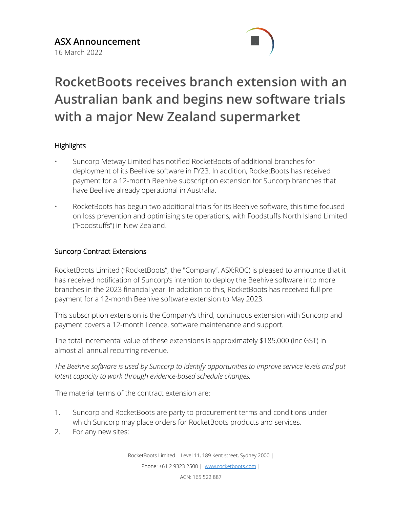

# **RocketBoots receives branch extension with an Australian bank and begins new software trials with a major New Zealand supermarket**

## **Highlights**

- Suncorp Metway Limited has notified RocketBoots of additional branches for deployment of its Beehive software in FY23. In addition, RocketBoots has received payment for a 12-month Beehive subscription extension for Suncorp branches that have Beehive already operational in Australia.
- RocketBoots has begun two additional trials for its Beehive software, this time focused on loss prevention and optimising site operations, with Foodstuffs North Island Limited ("Foodstuffs") in New Zealand.

### Suncorp Contract Extensions

RocketBoots Limited ("RocketBoots", the "Company", ASX:ROC) is pleased to announce that it has received notification of Suncorp's intention to deploy the Beehive software into more branches in the 2023 financial year. In addition to this, RocketBoots has received full prepayment for a 12-month Beehive software extension to May 2023.

This subscription extension is the Company's third, continuous extension with Suncorp and payment covers a 12-month licence, software maintenance and support.

The total incremental value of these extensions is approximately \$185,000 (inc GST) in almost all annual recurring revenue.

*The Beehive software is used by Suncorp to identify opportunities to improve service levels and put latent capacity to work through evidence-based schedule changes.* 

The material terms of the contract extension are:

- 1. Suncorp and RocketBoots are party to procurement terms and conditions under which Suncorp may place orders for RocketBoots products and services.
- 2. For any new sites:

RocketBoots Limited | Level 11, 189 Kent street, Sydney 2000 |

Phone: +61 2 9323 2500 | [www.rocketboots.com](http://www.rocketboots.com/) |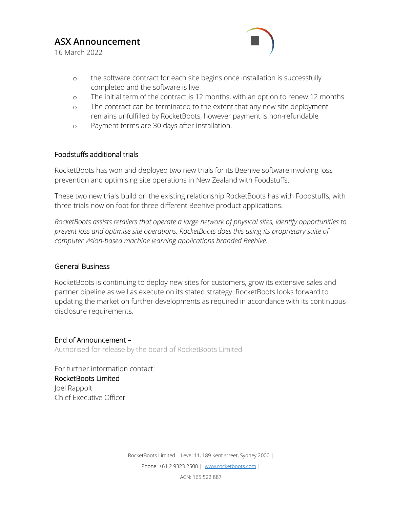# **ASX Announcement**

16 March 2022



- o the software contract for each site begins once installation is successfully completed and the software is live
- o The initial term of the contract is 12 months, with an option to renew 12 months
- o The contract can be terminated to the extent that any new site deployment remains unfulfilled by RocketBoots, however payment is non-refundable
- o Payment terms are 30 days after installation.

#### Foodstuffs additional trials

RocketBoots has won and deployed two new trials for its Beehive software involving loss prevention and optimising site operations in New Zealand with Foodstuffs.

These two new trials build on the existing relationship RocketBoots has with Foodstuffs, with three trials now on foot for three different Beehive product applications.

*RocketBoots assists retailers that operate a large network of physical sites, identify opportunities to prevent loss and optimise site operations. RocketBoots does this using its proprietary suite of computer vision-based machine learning applications branded Beehive.*

#### General Business

RocketBoots is continuing to deploy new sites for customers, grow its extensive sales and partner pipeline as well as execute on its stated strategy. RocketBoots looks forward to updating the market on further developments as required in accordance with its continuous disclosure requirements.

End of Announcement – Authorised for release by the board of RocketBoots Limited

For further information contact: RocketBoots Limited Joel Rappolt Chief Executive Officer

> RocketBoots Limited | Level 11, 189 Kent street, Sydney 2000 | Phone: +61 2 9323 2500 | [www.rocketboots.com](http://www.rocketboots.com/) |

ACN: 165 522 887